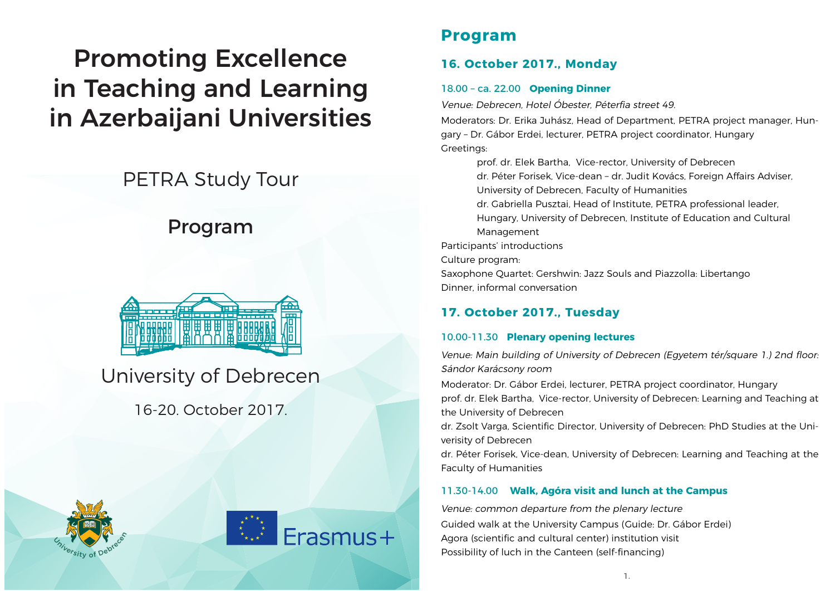# Promoting Excellence in Teaching and Learning in Azerbaijani Universities

## PETRA Study Tour

## Program



## University of Debrecen

16-20. October 2017.





### **Program**

### **16. October 2017., Monday**

#### 18.00 – ca. 22.00 **Opening Dinner**

Venue: Debrecen, Hotel Óbester, Péterfia street 49.

Moderators: Dr. Erika Juhász, Head of Department, PETRA project manager, Hungary – Dr. Gábor Erdei, lecturer, PETRA project coordinator, Hungary Greetings:

prof. dr. Elek Bartha, Vice-rector, University of Debrecen dr. Péter Forisek, Vice-dean – dr. Judit Kovács, Foreign Affairs Adviser, University of Debrecen, Faculty of Humanities

dr. Gabriella Pusztai, Head of Institute, PETRA professional leader, Hungary, University of Debrecen, Institute of Education and Cultural Management

Participants' introductions

Culture program:

Saxophone Quartet: Gershwin: Jazz Souls and Piazzolla: Libertango Dinner, informal conversation

### **17. October 2017., Tuesday**

#### 10.00-11.30 **Plenary opening lectures**

Venue: Main building of University of Debrecen (Egyetem tér/square 1.) 2nd floor: Sándor Karácsony room

Moderator: Dr. Gábor Erdei, lecturer, PETRA project coordinator, Hungary prof. dr. Elek Bartha, Vice-rector, University of Debrecen: Learning and Teaching at the University of Debrecen

dr. Zsolt Varga, Scientific Director, University of Debrecen: PhD Studies at the Univerisity of Debrecen

dr. Péter Forisek, Vice-dean, University of Debrecen: Learning and Teaching at the Faculty of Humanities

#### 11.30-14.00 **Walk, Agóra visit and lunch at the Campus**

Venue: common departure from the plenary lecture

Guided walk at the University Campus (Guide: Dr. Gábor Erdei) Agora (scientific and cultural center) institution visit Possibility of luch in the Canteen (self-financing)